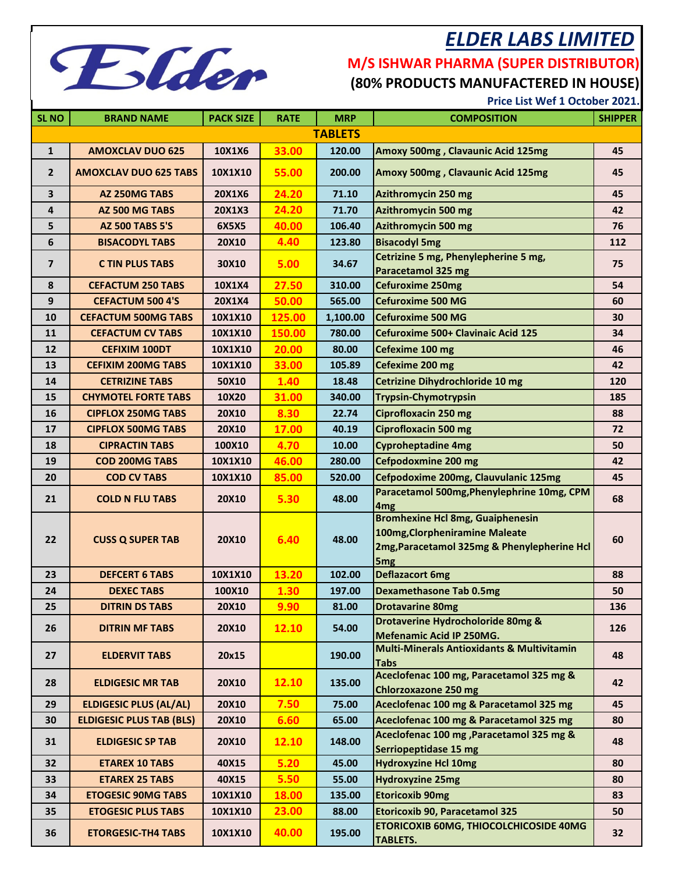## *ELDER LABS LIMITED*



## **(80% PRODUCTS MANUFACTERED IN HOUSE)**

 **Price List Wef 1 October 2021.**

| <b>SL NO</b>   | <b>BRAND NAME</b>               | <b>PACK SIZE</b> | <b>RATE</b> | <b>MRP</b> | <b>COMPOSITION</b>                                                                                                                          | <b>SHIPPER</b> |  |
|----------------|---------------------------------|------------------|-------------|------------|---------------------------------------------------------------------------------------------------------------------------------------------|----------------|--|
| <b>TABLETS</b> |                                 |                  |             |            |                                                                                                                                             |                |  |
| $\mathbf{1}$   | <b>AMOXCLAV DUO 625</b>         | 10X1X6           | 33.00       | 120.00     | Amoxy 500mg, Clavaunic Acid 125mg                                                                                                           | 45             |  |
| $\overline{2}$ | <b>AMOXCLAV DUO 625 TABS</b>    | 10X1X10          | 55.00       | 200.00     | Amoxy 500mg, Clavaunic Acid 125mg                                                                                                           | 45             |  |
| 3              | <b>AZ 250MG TABS</b>            | <b>20X1X6</b>    | 24.20       | 71.10      | Azithromycin 250 mg                                                                                                                         | 45             |  |
| 4              | AZ 500 MG TABS                  | <b>20X1X3</b>    | 24.20       | 71.70      | Azithromycin 500 mg                                                                                                                         | 42             |  |
| 5              | <b>AZ 500 TABS 5'S</b>          | 6X5X5            | 40.00       | 106.40     | Azithromycin 500 mg                                                                                                                         | 76             |  |
| 6              | <b>BISACODYL TABS</b>           | <b>20X10</b>     | 4.40        | 123.80     | <b>Bisacodyl 5mg</b>                                                                                                                        | 112            |  |
| $\overline{7}$ | <b>C TIN PLUS TABS</b>          | 30X10            | 5.00        | 34.67      | Cetrizine 5 mg, Phenylepherine 5 mg,<br>Paracetamol 325 mg                                                                                  | 75             |  |
| 8              | <b>CEFACTUM 250 TABS</b>        | 10X1X4           | 27.50       | 310.00     | <b>Cefuroxime 250mg</b>                                                                                                                     | 54             |  |
| 9              | <b>CEFACTUM 500 4'S</b>         | <b>20X1X4</b>    | 50.00       | 565.00     | <b>Cefuroxime 500 MG</b>                                                                                                                    | 60             |  |
| 10             | <b>CEFACTUM 500MG TABS</b>      | 10X1X10          | 125.00      | 1,100.00   | <b>Cefuroxime 500 MG</b>                                                                                                                    | 30             |  |
| 11             | <b>CEFACTUM CV TABS</b>         | 10X1X10          | 150.00      | 780.00     | Cefuroxime 500+ Clavinaic Acid 125                                                                                                          | 34             |  |
| 12             | <b>CEFIXIM 100DT</b>            | 10X1X10          | 20.00       | 80.00      | Cefexime 100 mg                                                                                                                             | 46             |  |
| 13             | <b>CEFIXIM 200MG TABS</b>       | 10X1X10          | 33.00       | 105.89     | Cefexime 200 mg                                                                                                                             | 42             |  |
| 14             | <b>CETRIZINE TABS</b>           | 50X10            | 1.40        | 18.48      | Cetrizine Dihydrochloride 10 mg                                                                                                             | 120            |  |
| 15             | <b>CHYMOTEL FORTE TABS</b>      | 10X20            | 31.00       | 340.00     | <b>Trypsin-Chymotrypsin</b>                                                                                                                 | 185            |  |
| 16             | <b>CIPFLOX 250MG TABS</b>       | 20X10            | 8.30        | 22.74      | Ciprofloxacin 250 mg                                                                                                                        | 88             |  |
| 17             | <b>CIPFLOX 500MG TABS</b>       | 20X10            | 17.00       | 40.19      | Ciprofloxacin 500 mg                                                                                                                        | 72             |  |
| 18             | <b>CIPRACTIN TABS</b>           | 100X10           | 4.70        | 10.00      | <b>Cyproheptadine 4mg</b>                                                                                                                   | 50             |  |
| 19             | <b>COD 200MG TABS</b>           | 10X1X10          | 46.00       | 280.00     | Cefpodoxmine 200 mg                                                                                                                         | 42             |  |
| 20             | <b>COD CV TABS</b>              | 10X1X10          | 85.00       | 520.00     | Cefpodoxime 200mg, Clauvulanic 125mg                                                                                                        | 45             |  |
| 21             | <b>COLD N FLU TABS</b>          | 20X10            | 5.30        | 48.00      | Paracetamol 500mg, Phenylephrine 10mg, CPM<br>4 <sub>mg</sub>                                                                               | 68             |  |
| 22             | <b>CUSS Q SUPER TAB</b>         | 20X10            | 6.40        | 48.00      | <b>Bromhexine Hcl 8mg, Guaiphenesin</b><br>100mg, Clorpheniramine Maleate<br>2mg, Paracetamol 325mg & Phenylepherine Hcl<br>5 <sub>mg</sub> | 60             |  |
| 23             | <b>DEFCERT 6 TABS</b>           | 10X1X10          | 13.20       | 102.00     | <b>Deflazacort 6mg</b>                                                                                                                      | 88             |  |
| 24             | <b>DEXEC TABS</b>               | 100X10           | 1.30        | 197.00     | <b>Dexamethasone Tab 0.5mg</b>                                                                                                              | 50             |  |
| 25             | <b>DITRIN DS TABS</b>           | <b>20X10</b>     | 9.90        | 81.00      | Drotavarine 80mg                                                                                                                            | 136            |  |
| 26             | <b>DITRIN MF TABS</b>           | 20X10            | 12.10       | 54.00      | Drotaverine Hydrocholoride 80mg &<br>Mefenamic Acid IP 250MG.                                                                               | 126            |  |
| 27             | <b>ELDERVIT TABS</b>            | 20x15            |             | 190.00     | Multi-Minerals Antioxidants & Multivitamin<br><b>Tabs</b>                                                                                   | 48             |  |
| 28             | <b>ELDIGESIC MR TAB</b>         | 20X10            | 12.10       | 135.00     | Aceclofenac 100 mg, Paracetamol 325 mg &<br><b>Chlorzoxazone 250 mg</b>                                                                     | 42             |  |
| 29             | <b>ELDIGESIC PLUS (AL/AL)</b>   | 20X10            | 7.50        | 75.00      | Aceclofenac 100 mg & Paracetamol 325 mg                                                                                                     | 45             |  |
| 30             | <b>ELDIGESIC PLUS TAB (BLS)</b> | <b>20X10</b>     | 6.60        | 65.00      | Aceclofenac 100 mg & Paracetamol 325 mg                                                                                                     | 80             |  |
| 31             | <b>ELDIGESIC SP TAB</b>         | 20X10            | 12.10       | 148.00     | Aceclofenac 100 mg , Paracetamol 325 mg &<br>Serriopeptidase 15 mg                                                                          | 48             |  |
| 32             | <b>ETAREX 10 TABS</b>           | 40X15            | 5.20        | 45.00      | <b>Hydroxyzine Hcl 10mg</b>                                                                                                                 | 80             |  |
| 33             | <b>ETAREX 25 TABS</b>           | 40X15            | 5.50        | 55.00      | <b>Hydroxyzine 25mg</b>                                                                                                                     | 80             |  |
| 34             | <b>ETOGESIC 90MG TABS</b>       | 10X1X10          | 18.00       | 135.00     | <b>Etoricoxib 90mg</b>                                                                                                                      | 83             |  |
| 35             | <b>ETOGESIC PLUS TABS</b>       | 10X1X10          | 23.00       | 88.00      | Etoricoxib 90, Paracetamol 325                                                                                                              | 50             |  |
| 36             | <b>ETORGESIC-TH4 TABS</b>       | 10X1X10          | 40.00       | 195.00     | ETORICOXIB 60MG, THIOCOLCHICOSIDE 40MG<br><b>TABLETS.</b>                                                                                   | 32             |  |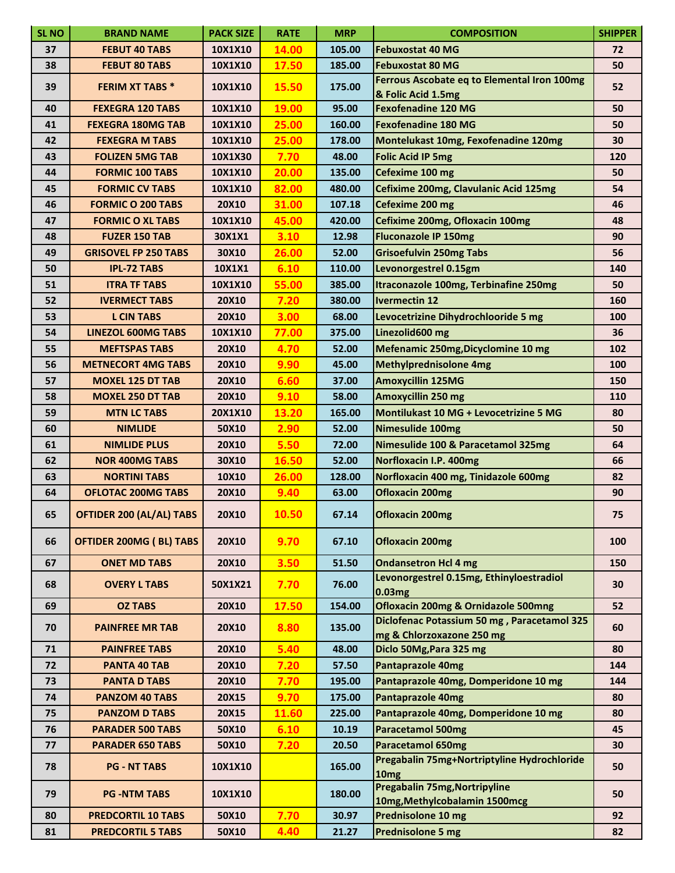| <b>SL NO</b> | <b>BRAND NAME</b>           | <b>PACK SIZE</b> | <b>RATE</b> | <b>MRP</b> | <b>COMPOSITION</b>                                                              | <b>SHIPPER</b> |
|--------------|-----------------------------|------------------|-------------|------------|---------------------------------------------------------------------------------|----------------|
| 37           | <b>FEBUT 40 TABS</b>        | 10X1X10          | 14.00       | 105.00     | <b>Febuxostat 40 MG</b>                                                         | 72             |
| 38           | <b>FEBUT 80 TABS</b>        | 10X1X10          | 17.50       | 185.00     | <b>Febuxostat 80 MG</b>                                                         | 50             |
| 39           | <b>FERIM XT TABS*</b>       | 10X1X10          | 15.50       | 175.00     | Ferrous Ascobate eq to Elemental Iron 100mg<br>& Folic Acid 1.5mg               | 52             |
| 40           | <b>FEXEGRA 120 TABS</b>     | 10X1X10          | 19.00       | 95.00      | <b>Fexofenadine 120 MG</b>                                                      | 50             |
| 41           | <b>FEXEGRA 180MG TAB</b>    | 10X1X10          | 25.00       | 160.00     | <b>Fexofenadine 180 MG</b>                                                      | 50             |
| 42           | <b>FEXEGRA M TABS</b>       | 10X1X10          | 25.00       | 178.00     | Montelukast 10mg, Fexofenadine 120mg                                            | 30             |
| 43           | <b>FOLIZEN 5MG TAB</b>      | 10X1X30          | 7.70        | 48.00      | <b>Folic Acid IP 5mg</b>                                                        | 120            |
| 44           | <b>FORMIC 100 TABS</b>      | 10X1X10          | 20.00       | 135.00     | Cefexime 100 mg                                                                 | 50             |
| 45           | <b>FORMIC CV TABS</b>       | 10X1X10          | 82.00       | 480.00     | Cefixime 200mg, Clavulanic Acid 125mg                                           | 54             |
| 46           | <b>FORMIC O 200 TABS</b>    | 20X10            | 31.00       | 107.18     | Cefexime 200 mg                                                                 | 46             |
| 47           | <b>FORMIC O XL TABS</b>     | 10X1X10          | 45.00       | 420.00     | Cefixime 200mg, Ofloxacin 100mg                                                 | 48             |
| 48           | <b>FUZER 150 TAB</b>        | 30X1X1           | 3.10        | 12.98      | <b>Fluconazole IP 150mg</b>                                                     | 90             |
| 49           | <b>GRISOVEL FP 250 TABS</b> | 30X10            | 26.00       | 52.00      | <b>Grisoefulvin 250mg Tabs</b>                                                  | 56             |
| 50           | <b>IPL-72 TABS</b>          | 10X1X1           | 6.10        | 110.00     | Levonorgestrel 0.15gm                                                           | 140            |
| 51           | <b>ITRA TF TABS</b>         | 10X1X10          | 55.00       | 385.00     | Itraconazole 100mg, Terbinafine 250mg                                           | 50             |
| 52           | <b>IVERMECT TABS</b>        | 20X10            | 7.20        | 380.00     | <b>Ivermectin 12</b>                                                            | 160            |
| 53           | <b>L CIN TABS</b>           | 20X10            | 3.00        | 68.00      | Levocetrizine Dihydrochlooride 5 mg                                             | 100            |
| 54           | <b>LINEZOL 600MG TABS</b>   | 10X1X10          | 77.00       | 375.00     | Linezolid600 mg                                                                 | 36             |
| 55           | <b>MEFTSPAS TABS</b>        | 20X10            | 4.70        | 52.00      | Mefenamic 250mg, Dicyclomine 10 mg                                              | 102            |
| 56           | <b>METNECORT 4MG TABS</b>   | 20X10            | 9.90        | 45.00      | <b>Methylprednisolone 4mg</b>                                                   | 100            |
| 57           | <b>MOXEL 125 DT TAB</b>     | 20X10            | 6.60        | 37.00      | <b>Amoxycillin 125MG</b>                                                        | 150            |
| 58           | <b>MOXEL 250 DT TAB</b>     | 20X10            | 9.10        | 58.00      | Amoxycillin 250 mg                                                              | 110            |
| 59           | <b>MTN LC TABS</b>          | 20X1X10          | 13.20       | 165.00     | Montilukast 10 MG + Levocetrizine 5 MG                                          | 80             |
| 60           | <b>NIMLIDE</b>              | 50X10            | 2.90        | 52.00      | Nimesulide 100mg                                                                | 50             |
| 61           | <b>NIMLIDE PLUS</b>         | 20X10            | 5.50        | 72.00      | Nimesulide 100 & Paracetamol 325mg                                              | 64             |
| 62           | <b>NOR 400MG TABS</b>       | 30X10            | 16.50       | 52.00      | Norfloxacin I.P. 400mg                                                          | 66             |
| 63           | <b>NORTINI TABS</b>         | 10X10            | 26.00       | 128.00     | Norfloxacin 400 mg, Tinidazole 600mg                                            | 82             |
| 64           | <b>OFLOTAC 200MG TABS</b>   | 20X10            | 9.40        | 63.00      | <b>Ofloxacin 200mg</b>                                                          | 90             |
| 65           | OFTIDER 200 (AL/AL) TABS    | 20X10            | 10.50       | 67.14      | <b>Ofloxacin 200mg</b>                                                          | 75             |
| 66           | OFTIDER 200MG (BL) TABS     | 20X10            | 9.70        | 67.10      | <b>Ofloxacin 200mg</b>                                                          | <b>100</b>     |
| 67           | <b>ONET MD TABS</b>         | 20X10            | 3.50        | 51.50      | <b>Ondansetron Hcl 4 mg</b>                                                     | 150            |
| 68           | <b>OVERY L TABS</b>         | 50X1X21          | 7.70        | 76.00      | Levonorgestrel 0.15mg, Ethinyloestradiol<br>0.03mg                              | 30             |
| 69           | <b>OZ TABS</b>              | 20X10            | 17.50       | 154.00     | Ofloxacin 200mg & Ornidazole 500mng                                             | 52             |
| 70           | <b>PAINFREE MR TAB</b>      | <b>20X10</b>     | 8.80        | 135.00     | <b>Diclofenac Potassium 50 mg, Paracetamol 325</b><br>mg & Chlorzoxazone 250 mg | 60             |
| 71           | <b>PAINFREE TABS</b>        | <b>20X10</b>     | 5.40        | 48.00      | Diclo 50Mg, Para 325 mg                                                         | 80             |
| 72           | PANTA 40 TAB                | <b>20X10</b>     | 7.20        | 57.50      | <b>Pantaprazole 40mg</b>                                                        | 144            |
| 73           | <b>PANTA D TABS</b>         | 20X10            | 7.70        | 195.00     | Pantaprazole 40mg, Domperidone 10 mg                                            | 144            |
| 74           | <b>PANZOM 40 TABS</b>       | 20X15            | 9.70        | 175.00     | Pantaprazole 40mg                                                               | 80             |
| 75           | <b>PANZOM D TABS</b>        | 20X15            | 11.60       | 225.00     | Pantaprazole 40mg, Domperidone 10 mg                                            | 80             |
| 76           | <b>PARADER 500 TABS</b>     | 50X10            | 6.10        | 10.19      | <b>Paracetamol 500mg</b>                                                        | 45             |
| 77           | <b>PARADER 650 TABS</b>     | 50X10            | 7.20        | 20.50      | <b>Paracetamol 650mg</b>                                                        | 30             |
| 78           | <b>PG - NT TABS</b>         | 10X1X10          |             | 165.00     | Pregabalin 75mg+Nortriptyline Hydrochloride<br>10 <sub>mg</sub>                 | 50             |
| 79           | <b>PG-NTM TABS</b>          | 10X1X10          |             | 180.00     | Pregabalin 75mg, Nortripyline<br>10mg, Methylcobalamin 1500mcg                  | 50             |
| 80           | <b>PREDCORTIL 10 TABS</b>   | 50X10            | 7.70        | 30.97      | Prednisolone 10 mg                                                              | 92             |
| 81           | <b>PREDCORTIL 5 TABS</b>    | 50X10            | 4.40        | 21.27      | Prednisolone 5 mg                                                               | 82             |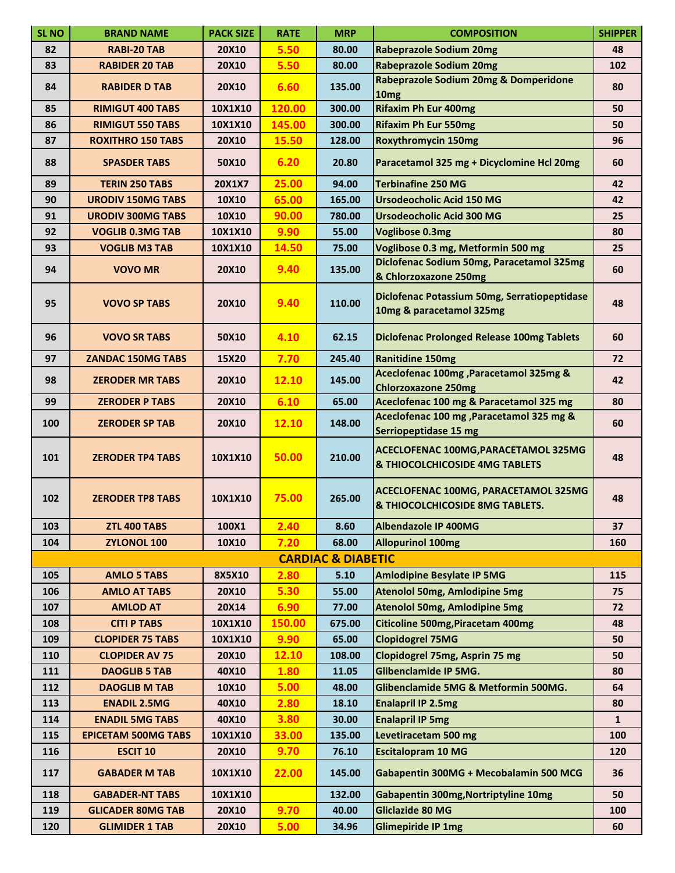| <b>SL NO</b> | <b>BRAND NAME</b>          | <b>PACK SIZE</b> | <b>RATE</b> | <b>MRP</b>                    | <b>COMPOSITION</b>                                                                | <b>SHIPPER</b> |
|--------------|----------------------------|------------------|-------------|-------------------------------|-----------------------------------------------------------------------------------|----------------|
| 82           | <b>RABI-20 TAB</b>         | 20X10            | 5.50        | 80.00                         | <b>Rabeprazole Sodium 20mg</b>                                                    | 48             |
| 83           | <b>RABIDER 20 TAB</b>      | 20X10            | 5.50        | 80.00                         | <b>Rabeprazole Sodium 20mg</b>                                                    | 102            |
| 84           | <b>RABIDER D TAB</b>       | 20X10            | 6.60        | 135.00                        | Rabeprazole Sodium 20mg & Domperidone<br><b>10mg</b>                              | 80             |
| 85           | <b>RIMIGUT 400 TABS</b>    | 10X1X10          | 120.00      | 300.00                        | <b>Rifaxim Ph Eur 400mg</b>                                                       | 50             |
| 86           | <b>RIMIGUT 550 TABS</b>    | 10X1X10          | 145.00      | 300.00                        | <b>Rifaxim Ph Eur 550mg</b>                                                       | 50             |
| 87           | <b>ROXITHRO 150 TABS</b>   | 20X10            | 15.50       | 128.00                        | <b>Roxythromycin 150mg</b>                                                        | 96             |
| 88           | <b>SPASDER TABS</b>        | 50X10            | 6.20        | 20.80                         | Paracetamol 325 mg + Dicyclomine Hcl 20mg                                         | 60             |
| 89           | <b>TERIN 250 TABS</b>      | <b>20X1X7</b>    | 25.00       | 94.00                         | <b>Terbinafine 250 MG</b>                                                         | 42             |
| 90           | <b>URODIV 150MG TABS</b>   | 10X10            | 65.00       | 165.00                        | <b>Ursodeocholic Acid 150 MG</b>                                                  | 42             |
| 91           | <b>URODIV 300MG TABS</b>   | 10X10            | 90.00       | 780.00                        | <b>Ursodeocholic Acid 300 MG</b>                                                  | 25             |
| 92           | <b>VOGLIB 0.3MG TAB</b>    | 10X1X10          | 9.90        | 55.00                         | <b>Voglibose 0.3mg</b>                                                            | 80             |
| 93           | <b>VOGLIB M3 TAB</b>       | 10X1X10          | 14.50       | 75.00                         | Voglibose 0.3 mg, Metformin 500 mg                                                | 25             |
| 94           | <b>VOVO MR</b>             | 20X10            | 9.40        | 135.00                        | Diclofenac Sodium 50mg, Paracetamol 325mg<br>& Chlorzoxazone 250mg                | 60             |
| 95           | <b>VOVO SP TABS</b>        | 20X10            | 9.40        | 110.00                        | Diclofenac Potassium 50mg, Serratiopeptidase<br>10mg & paracetamol 325mg          | 48             |
| 96           | <b>VOVO SR TABS</b>        | 50X10            | 4.10        | 62.15                         | <b>Diclofenac Prolonged Release 100mg Tablets</b>                                 | 60             |
| 97           | <b>ZANDAC 150MG TABS</b>   | 15X20            | 7.70        | 245.40                        | <b>Ranitidine 150mg</b>                                                           | 72             |
| 98           | <b>ZERODER MR TABS</b>     | 20X10            | 12.10       | 145.00                        | Aceclofenac 100mg, Paracetamol 325mg &<br><b>Chlorzoxazone 250mg</b>              | 42             |
| 99           | <b>ZERODER P TABS</b>      | 20X10            | 6.10        | 65.00                         | Aceclofenac 100 mg & Paracetamol 325 mg                                           | 80             |
| 100          | <b>ZERODER SP TAB</b>      | 20X10            | 12.10       | 148.00                        | Aceclofenac 100 mg , Paracetamol 325 mg &<br>Serriopeptidase 15 mg                | 60             |
| 101          | <b>ZERODER TP4 TABS</b>    | 10X1X10          | 50.00       | 210.00                        | ACECLOFENAC 100MG, PARACETAMOL 325MG<br><b>&amp; THIOCOLCHICOSIDE 4MG TABLETS</b> | 48             |
| 102          | <b>ZERODER TP8 TABS</b>    | 10X1X10          | 75.00       | 265.00                        | ACECLOFENAC 100MG, PARACETAMOL 325MG<br>& THIOCOLCHICOSIDE 8MG TABLETS.           | 48             |
| 103          | ZTL 400 TABS               | 100X1            | 2.40        | 8.60                          | <b>Albendazole IP 400MG</b>                                                       | 37             |
| 104          | <b>ZYLONOL 100</b>         | 10X10            | 7.20        | 68.00                         | <b>Allopurinol 100mg</b>                                                          | 160            |
|              |                            |                  |             | <b>CARDIAC &amp; DIABETIC</b> |                                                                                   |                |
| 105          | <b>AMLO 5 TABS</b>         | 8X5X10           | 2.80        | 5.10                          | <b>Amlodipine Besylate IP 5MG</b>                                                 | 115            |
| 106          | <b>AMLO AT TABS</b>        | 20X10            | 5.30        | 55.00                         | <b>Atenolol 50mg, Amlodipine 5mg</b>                                              | 75             |
| 107          | <b>AMLOD AT</b>            | 20X14            | 6.90        | 77.00                         | <b>Atenolol 50mg, Amlodipine 5mg</b>                                              | 72             |
| 108          | <b>CITI P TABS</b>         | 10X1X10          | 150.00      | 675.00                        | <b>Citicoline 500mg, Piracetam 400mg</b>                                          | 48             |
| 109          | <b>CLOPIDER 75 TABS</b>    | 10X1X10          | 9.90        | 65.00                         | <b>Clopidogrel 75MG</b>                                                           | 50             |
| 110          | <b>CLOPIDER AV 75</b>      | 20X10            | 12.10       | 108.00                        | Clopidogrel 75mg, Asprin 75 mg                                                    | 50             |
| 111          | <b>DAOGLIB 5 TAB</b>       | 40X10            | 1.80        | 11.05                         | Glibenclamide IP 5MG.                                                             | 80             |
| 112          | <b>DAOGLIB M TAB</b>       | 10X10            | 5.00        | 48.00                         | Glibenclamide 5MG & Metformin 500MG.                                              | 64             |
| 113          | <b>ENADIL 2.5MG</b>        | 40X10            | 2.80        | 18.10                         | <b>Enalapril IP 2.5mg</b>                                                         | 80             |
| 114          | <b>ENADIL 5MG TABS</b>     | 40X10            | 3.80        | 30.00                         | <b>Enalapril IP 5mg</b>                                                           | $\mathbf{1}$   |
| 115          | <b>EPICETAM 500MG TABS</b> | 10X1X10          | 33.00       | 135.00                        | Levetiracetam 500 mg                                                              | 100            |
| 116          | <b>ESCIT 10</b>            | 20X10            | 9.70        | 76.10                         | <b>Escitalopram 10 MG</b>                                                         | 120            |
| 117          | <b>GABADER M TAB</b>       | 10X1X10          | 22.00       | 145.00                        | Gabapentin 300MG + Mecobalamin 500 MCG                                            | 36             |
| 118          | <b>GABADER-NT TABS</b>     | 10X1X10          |             | 132.00                        | Gabapentin 300mg, Nortriptyline 10mg                                              | 50             |
| 119          | <b>GLICADER 80MG TAB</b>   | <b>20X10</b>     | 9.70        | 40.00                         | Gliclazide 80 MG                                                                  | 100            |
| 120          | <b>GLIMIDER 1 TAB</b>      | <b>20X10</b>     | 5.00        | 34.96                         | <b>Glimepiride IP 1mg</b>                                                         | 60             |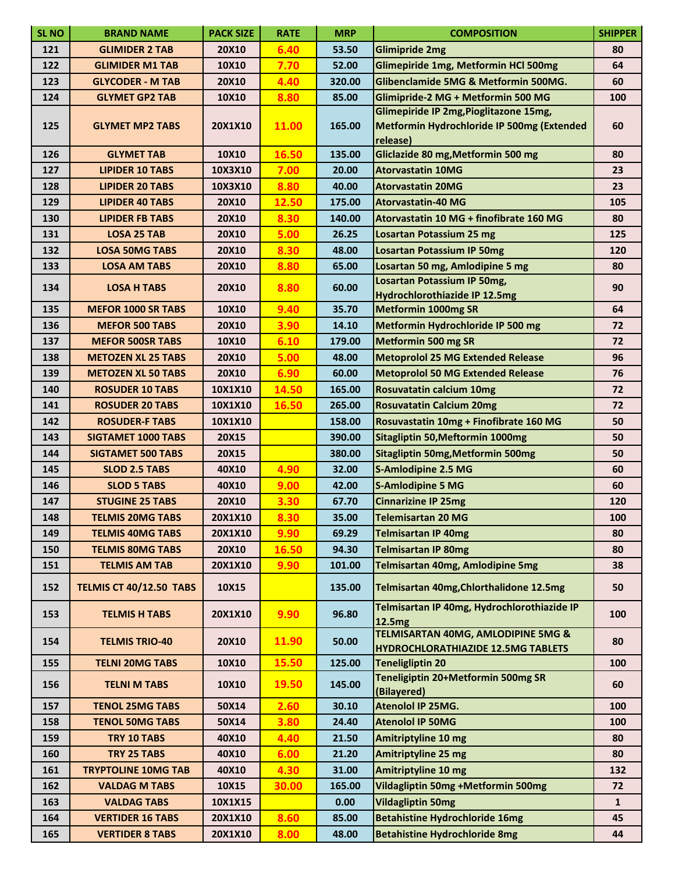| <b>SL NO</b> | <b>BRAND NAME</b>              | <b>PACK SIZE</b> | <b>RATE</b> | <b>MRP</b> | <b>COMPOSITION</b>                                      | <b>SHIPPER</b> |
|--------------|--------------------------------|------------------|-------------|------------|---------------------------------------------------------|----------------|
| 121          | <b>GLIMIDER 2 TAB</b>          | 20X10            | 6.40        | 53.50      | <b>Glimipride 2mg</b>                                   | 80             |
| 122          | <b>GLIMIDER M1 TAB</b>         | 10X10            | 7.70        | 52.00      | Glimepiride 1mg, Metformin HCl 500mg                    | 64             |
| 123          | <b>GLYCODER - M TAB</b>        | 20X10            | 4.40        | 320.00     | Glibenclamide 5MG & Metformin 500MG.                    | 60             |
| 124          | <b>GLYMET GP2 TAB</b>          | 10X10            | 8.80        | 85.00      | Glimipride-2 MG + Metformin 500 MG                      | 100            |
|              |                                |                  |             |            | Glimepiride IP 2mg, Pioglitazone 15mg,                  |                |
| 125          | <b>GLYMET MP2 TABS</b>         | 20X1X10          | 11.00       | 165.00     | Metformin Hydrochloride IP 500mg (Extended              | 60             |
|              |                                |                  |             |            | release)                                                |                |
| 126          | <b>GLYMET TAB</b>              | 10X10            | 16.50       | 135.00     | Gliclazide 80 mg, Metformin 500 mg                      | 80             |
| 127          | <b>LIPIDER 10 TABS</b>         | 10X3X10          | 7.00        | 20.00      | <b>Atorvastatin 10MG</b>                                | 23             |
| 128          | <b>LIPIDER 20 TABS</b>         | 10X3X10          | 8.80        | 40.00      | <b>Atorvastatin 20MG</b>                                | 23             |
| 129          | <b>LIPIDER 40 TABS</b>         | 20X10            | 12.50       | 175.00     | <b>Atorvastatin-40 MG</b>                               | 105            |
| 130          | <b>LIPIDER FB TABS</b>         | 20X10            | 8.30        | 140.00     | Atorvastatin 10 MG + finofibrate 160 MG                 | 80             |
| 131          | <b>LOSA 25 TAB</b>             | 20X10            | 5.00        | 26.25      | <b>Losartan Potassium 25 mg</b>                         | 125            |
| 132          | <b>LOSA 50MG TABS</b>          | 20X10            | 8.30        | 48.00      | <b>Losartan Potassium IP 50mg</b>                       | 120            |
| 133          | <b>LOSA AM TABS</b>            | 20X10            | 8.80        | 65.00      | Losartan 50 mg, Amlodipine 5 mg                         | 80             |
| 134          | <b>LOSA H TABS</b>             | 20X10            | 8.80        | 60.00      | <b>Losartan Potassium IP 50mg,</b>                      | 90             |
|              |                                |                  |             |            | Hydrochlorothiazide IP 12.5mg                           |                |
| 135          | <b>MEFOR 1000 SR TABS</b>      | 10X10            | 9.40        | 35.70      | <b>Metformin 1000mg SR</b>                              | 64             |
| 136          | <b>MEFOR 500 TABS</b>          | 20X10            | 3.90        | 14.10      | Metformin Hydrochloride IP 500 mg                       | 72             |
| 137          | <b>MEFOR 500SR TABS</b>        | 10X10            | 6.10        | 179.00     | <b>Metformin 500 mg SR</b>                              | 72             |
| 138          | <b>METOZEN XL 25 TABS</b>      | 20X10            | 5.00        | 48.00      | <b>Metoprolol 25 MG Extended Release</b>                | 96             |
| 139          | <b>METOZEN XL 50 TABS</b>      | 20X10            | 6.90        | 60.00      | <b>Metoprolol 50 MG Extended Release</b>                | 76             |
| 140          | <b>ROSUDER 10 TABS</b>         | 10X1X10          | 14.50       | 165.00     | <b>Rosuvatatin calcium 10mg</b>                         | 72             |
| 141          | <b>ROSUDER 20 TABS</b>         | 10X1X10          | 16.50       | 265.00     | <b>Rosuvatatin Calcium 20mg</b>                         | 72             |
| 142          | <b>ROSUDER-F TABS</b>          | 10X1X10          |             | 158.00     | Rosuvastatin 10mg + Finofibrate 160 MG                  | 50             |
| 143          | <b>SIGTAMET 1000 TABS</b>      | 20X15            |             | 390.00     | Sitagliptin 50, Meftormin 1000mg                        | 50             |
| 144          | <b>SIGTAMET 500 TABS</b>       | 20X15            |             | 380.00     | Sitagliptin 50mg, Metformin 500mg                       | 50             |
| 145          | <b>SLOD 2.5 TABS</b>           | 40X10            | 4.90        | 32.00      | <b>S-Amlodipine 2.5 MG</b>                              | 60             |
| 146          | <b>SLOD 5 TABS</b>             | 40X10            | 9.00        | 42.00      | <b>S-Amlodipine 5 MG</b>                                | 60             |
| 147          | <b>STUGINE 25 TABS</b>         | 20X10            | 3.30        | 67.70      | <b>Cinnarizine IP 25mg</b>                              | 120            |
| 148          | <b>TELMIS 20MG TABS</b>        | 20X1X10          | 8.30        | 35.00      | lTelemisartan 20 MG                                     | 100            |
| 149          | <b>TELMIS 40MG TABS</b>        | 20X1X10          | 9.90        | 69.29      | <b>Telmisartan IP 40mg</b>                              | 80             |
| 150          | <b>TELMIS 80MG TABS</b>        | <b>20X10</b>     | 16.50       | 94.30      | <b>Telmisartan IP 80mg</b>                              | 80             |
| 151          | <b>TELMIS AM TAB</b>           | 20X1X10          | 9.90        | 101.00     | Telmisartan 40mg, Amlodipine 5mg                        | 38             |
| 152          | <b>TELMIS CT 40/12.50 TABS</b> | 10X15            |             | 135.00     | Telmisartan 40mg, Chlorthalidone 12.5mg                 | 50             |
| 153          | <b>TELMIS H TABS</b>           | 20X1X10          | 9.90        | 96.80      | Telmisartan IP 40mg, Hydrochlorothiazide IP             | 100            |
|              |                                |                  |             |            | 12.5mg<br><b>TELMISARTAN 40MG, AMLODIPINE 5MG &amp;</b> |                |
| 154          | <b>TELMIS TRIO-40</b>          | 20X10            | 11.90       | 50.00      | <b>HYDROCHLORATHIAZIDE 12.5MG TABLETS</b>               | 80             |
| 155          | <b>TELNI 20MG TABS</b>         | 10X10            | 15.50       | 125.00     | <b>Teneligliptin 20</b>                                 | 100            |
| 156          | <b>TELNI M TABS</b>            | 10X10            | 19.50       | 145.00     | Teneligiptin 20+Metformin 500mg SR                      | 60             |
|              |                                |                  |             |            | (Bilayered)                                             |                |
| 157          | <b>TENOL 25MG TABS</b>         | 50X14            | 2.60        | 30.10      | Atenolol IP 25MG.                                       | 100            |
| 158          | <b>TENOL 50MG TABS</b>         | 50X14            | 3.80        | 24.40      | <b>Atenolol IP 50MG</b>                                 | 100            |
| 159          | TRY 10 TABS                    | 40X10            | 4.40        | 21.50      | <b>Amitriptyline 10 mg</b>                              | 80             |
| 160          | TRY 25 TABS                    | 40X10            | 6.00        | 21.20      | <b>Amitriptyline 25 mg</b>                              | 80             |
| 161          | <b>TRYPTOLINE 10MG TAB</b>     | 40X10            | 4.30        | 31.00      | <b>Amitriptyline 10 mg</b>                              | 132            |
| 162          | <b>VALDAG M TABS</b>           | 10X15            | 30.00       | 165.00     | Vildagliptin 50mg +Metformin 500mg                      | 72             |
| 163          | <b>VALDAG TABS</b>             | 10X1X15          |             | 0.00       | <b>Vildagliptin 50mg</b>                                | $\mathbf{1}$   |
| 164          | <b>VERTIDER 16 TABS</b>        | 20X1X10          | 8.60        | 85.00      | <b>Betahistine Hydrochloride 16mg</b>                   | 45             |
| 165          | <b>VERTIDER 8 TABS</b>         | 20X1X10          | 8.00        | 48.00      | <b>Betahistine Hydrochloride 8mg</b>                    | 44             |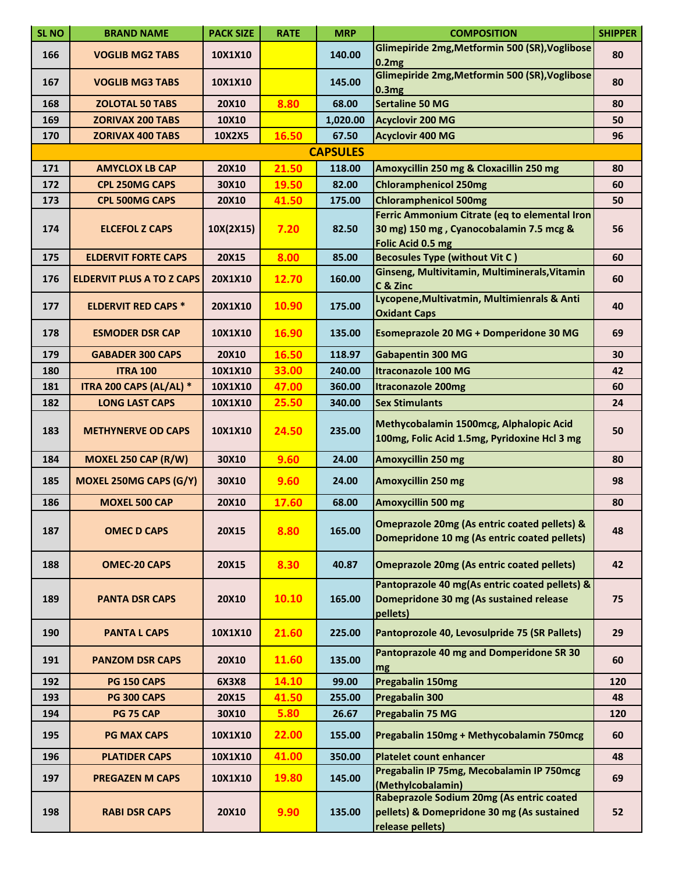| <b>SL NO</b> | <b>BRAND NAME</b>                | <b>PACK SIZE</b> | <b>RATE</b> | <b>MRP</b>      | <b>COMPOSITION</b>                                                                                            | <b>SHIPPER</b> |
|--------------|----------------------------------|------------------|-------------|-----------------|---------------------------------------------------------------------------------------------------------------|----------------|
| 166          | <b>VOGLIB MG2 TABS</b>           | 10X1X10          |             | 140.00          | Glimepiride 2mg, Metformin 500 (SR), Voglibose<br>0.2mg                                                       | 80             |
| 167          | <b>VOGLIB MG3 TABS</b>           | 10X1X10          |             | 145.00          | Glimepiride 2mg, Metformin 500 (SR), Voglibose<br>0.3mg                                                       | 80             |
| 168          | <b>ZOLOTAL 50 TABS</b>           | 20X10            | 8.80        | 68.00           | <b>Sertaline 50 MG</b>                                                                                        | 80             |
| 169          | <b>ZORIVAX 200 TABS</b>          | 10X10            |             | 1,020.00        | <b>Acyclovir 200 MG</b>                                                                                       | 50             |
| 170          | <b>ZORIVAX 400 TABS</b>          | 10X2X5           | 16.50       | 67.50           | <b>Acyclovir 400 MG</b>                                                                                       | 96             |
|              |                                  |                  |             | <b>CAPSULES</b> |                                                                                                               |                |
| 171          | <b>AMYCLOX LB CAP</b>            | 20X10            | 21.50       | 118.00          | Amoxycillin 250 mg & Cloxacillin 250 mg                                                                       | 80             |
| 172          | <b>CPL 250MG CAPS</b>            | 30X10            | 19.50       | 82.00           | <b>Chloramphenicol 250mg</b>                                                                                  | 60             |
| 173          | <b>CPL 500MG CAPS</b>            | 20X10            | 41.50       | 175.00          | <b>Chloramphenicol 500mg</b>                                                                                  | 50             |
| 174          | <b>ELCEFOL Z CAPS</b>            | 10X(2X15)        | 7.20        | 82.50           | Ferric Ammonium Citrate (eq to elemental Iron<br>30 mg) 150 mg, Cyanocobalamin 7.5 mcg &<br>Folic Acid 0.5 mg | 56             |
| 175          | <b>ELDERVIT FORTE CAPS</b>       | 20X15            | 8.00        | 85.00           | <b>Becosules Type (without Vit C)</b>                                                                         | 60             |
| 176          | <b>ELDERVIT PLUS A TO Z CAPS</b> | 20X1X10          | 12.70       | 160.00          | Ginseng, Multivitamin, Multiminerals, Vitamin<br>C & Zinc                                                     | 60             |
| 177          | <b>ELDERVIT RED CAPS *</b>       | 20X1X10          | 10.90       | 175.00          | Lycopene, Multivatmin, Multimienrals & Anti<br><b>Oxidant Caps</b>                                            | 40             |
| 178          | <b>ESMODER DSR CAP</b>           | 10X1X10          | 16.90       | 135.00          | <b>Esomeprazole 20 MG + Domperidone 30 MG</b>                                                                 | 69             |
| 179          | <b>GABADER 300 CAPS</b>          | <b>20X10</b>     | 16.50       | 118.97          | <b>Gabapentin 300 MG</b>                                                                                      | 30             |
| 180          | <b>ITRA 100</b>                  | 10X1X10          | 33.00       | 240.00          | <b>Itraconazole 100 MG</b>                                                                                    | 42             |
| 181          | ITRA 200 CAPS (AL/AL) *          | 10X1X10          | 47.00       | 360.00          | <b>Itraconazole 200mg</b>                                                                                     | 60             |
| 182          | <b>LONG LAST CAPS</b>            | 10X1X10          | 25.50       | 340.00          | <b>Sex Stimulants</b>                                                                                         | 24             |
| 183          | <b>METHYNERVE OD CAPS</b>        | 10X1X10          | 24.50       | 235.00          | Methycobalamin 1500mcg, Alphalopic Acid<br>100mg, Folic Acid 1.5mg, Pyridoxine Hcl 3 mg                       | 50             |
| 184          | MOXEL 250 CAP (R/W)              | 30X10            | 9.60        | 24.00           | Amoxycillin 250 mg                                                                                            | 80             |
| 185          | <b>MOXEL 250MG CAPS (G/Y)</b>    | 30X10            | 9.60        | 24.00           | Amoxycillin 250 mg                                                                                            | 98             |
| 186          | <b>MOXEL 500 CAP</b>             | <b>20X10</b>     | 17.60       | 68.00           | Amoxycillin 500 mg                                                                                            | 80             |
| 187          | <b>OMEC D CAPS</b>               | 20X15            | 8.80        | 165.00          | Omeprazole 20mg (As entric coated pellets) &<br>Domepridone 10 mg (As entric coated pellets)                  | 48             |
| 188          | <b>OMEC-20 CAPS</b>              | 20X15            | 8.30        | 40.87           | Omeprazole 20mg (As entric coated pellets)                                                                    | 42             |
| 189          | <b>PANTA DSR CAPS</b>            | 20X10            | 10.10       | 165.00          | Pantoprazole 40 mg(As entric coated pellets) &<br>Domepridone 30 mg (As sustained release<br>pellets)         | 75             |
| 190          | <b>PANTA L CAPS</b>              | 10X1X10          | 21.60       | 225.00          | Pantoprozole 40, Levosulpride 75 (SR Pallets)                                                                 | 29             |
| 191          | <b>PANZOM DSR CAPS</b>           | 20X10            | 11.60       | 135.00          | Pantoprazole 40 mg and Domperidone SR 30<br>mg                                                                | 60             |
| 192          | <b>PG 150 CAPS</b>               | <b>6X3X8</b>     | 14.10       | 99.00           | Pregabalin 150mg                                                                                              | 120            |
| 193          | <b>PG 300 CAPS</b>               | 20X15            | 41.50       | 255.00          | Pregabalin 300                                                                                                | 48             |
| 194          | <b>PG 75 CAP</b>                 | 30X10            | 5.80        | 26.67           | Pregabalin 75 MG                                                                                              | 120            |
| 195          | <b>PG MAX CAPS</b>               | 10X1X10          | 22.00       | 155.00          | Pregabalin 150mg + Methycobalamin 750mcg                                                                      | 60             |
| 196          | <b>PLATIDER CAPS</b>             | 10X1X10          | 41.00       | 350.00          | <b>Platelet count enhancer</b>                                                                                | 48             |
| 197          | <b>PREGAZEN M CAPS</b>           | 10X1X10          | 19.80       | 145.00          | Pregabalin IP 75mg, Mecobalamin IP 750mcg<br>(Methylcobalamin)                                                | 69             |
| 198          | <b>RABI DSR CAPS</b>             | <b>20X10</b>     | 9.90        | 135.00          | Rabeprazole Sodium 20mg (As entric coated<br>pellets) & Domepridone 30 mg (As sustained<br>release pellets)   | 52             |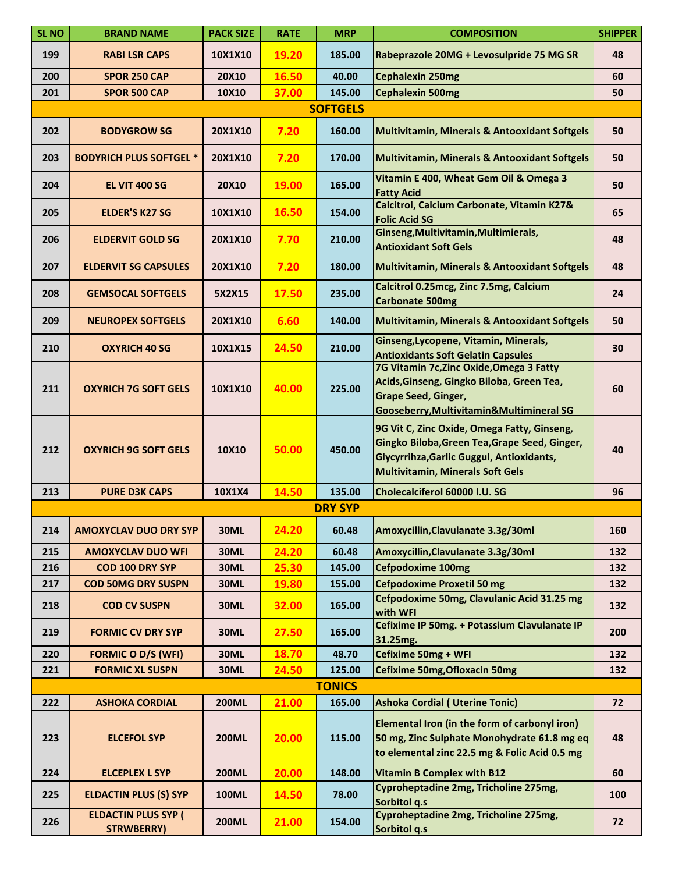| <b>SL NO</b> | <b>BRAND NAME</b>                               | <b>PACK SIZE</b> | <b>RATE</b> | <b>MRP</b>      | <b>COMPOSITION</b>                                                                                                                                                                          | <b>SHIPPER</b> |
|--------------|-------------------------------------------------|------------------|-------------|-----------------|---------------------------------------------------------------------------------------------------------------------------------------------------------------------------------------------|----------------|
| 199          | <b>RABILSR CAPS</b>                             | 10X1X10          | 19.20       | 185.00          | Rabeprazole 20MG + Levosulpride 75 MG SR                                                                                                                                                    | 48             |
| 200          | <b>SPOR 250 CAP</b>                             | 20X10            | 16.50       | 40.00           | <b>Cephalexin 250mg</b>                                                                                                                                                                     | 60             |
| 201          | <b>SPOR 500 CAP</b>                             | 10X10            | 37.00       | 145.00          | <b>Cephalexin 500mg</b>                                                                                                                                                                     | 50             |
|              |                                                 |                  |             | <b>SOFTGELS</b> |                                                                                                                                                                                             |                |
| 202          | <b>BODYGROW SG</b>                              | 20X1X10          | 7.20        | 160.00          | <b>Multivitamin, Minerals &amp; Antooxidant Softgels</b>                                                                                                                                    | 50             |
| 203          | <b>BODYRICH PLUS SOFTGEL *</b>                  | 20X1X10          | 7.20        | 170.00          | <b>Multivitamin, Minerals &amp; Antooxidant Softgels</b>                                                                                                                                    | 50             |
| 204          | <b>EL VIT 400 SG</b>                            | 20X10            | 19.00       | 165.00          | Vitamin E 400, Wheat Gem Oil & Omega 3<br><b>Fatty Acid</b>                                                                                                                                 | 50             |
| 205          | <b>ELDER'S K27 SG</b>                           | 10X1X10          | 16.50       | 154.00          | Calcitrol, Calcium Carbonate, Vitamin K27&<br><b>Folic Acid SG</b>                                                                                                                          | 65             |
| 206          | <b>ELDERVIT GOLD SG</b>                         | 20X1X10          | 7.70        | 210.00          | Ginseng, Multivitamin, Multimierals,<br><b>Antioxidant Soft Gels</b>                                                                                                                        | 48             |
| 207          | <b>ELDERVIT SG CAPSULES</b>                     | 20X1X10          | 7.20        | 180.00          | <b>Multivitamin, Minerals &amp; Antooxidant Softgels</b>                                                                                                                                    | 48             |
| 208          | <b>GEMSOCAL SOFTGELS</b>                        | 5X2X15           | 17.50       | 235.00          | Calcitrol 0.25mcg, Zinc 7.5mg, Calcium<br><b>Carbonate 500mg</b>                                                                                                                            | 24             |
| 209          | <b>NEUROPEX SOFTGELS</b>                        | 20X1X10          | 6.60        | 140.00          | <b>Multivitamin, Minerals &amp; Antooxidant Softgels</b>                                                                                                                                    | 50             |
| 210          | <b>OXYRICH 40 SG</b>                            | 10X1X15          | 24.50       | 210.00          | Ginseng, Lycopene, Vitamin, Minerals,<br><b>Antioxidants Soft Gelatin Capsules</b>                                                                                                          | 30             |
| 211          | <b>OXYRICH 7G SOFT GELS</b>                     | 10X1X10          | 40.00       | 225.00          | 7G Vitamin 7c, Zinc Oxide, Omega 3 Fatty<br>Acids, Ginseng, Gingko Biloba, Green Tea,<br><b>Grape Seed, Ginger,</b><br>Gooseberry, Multivitamin& Multimineral SG                            | 60             |
| 212          | <b>OXYRICH 9G SOFT GELS</b>                     | 10X10            | 50.00       | 450.00          | 9G Vit C, Zinc Oxide, Omega Fatty, Ginseng,<br>Gingko Biloba, Green Tea, Grape Seed, Ginger,<br><b>Glycyrrihza, Garlic Guggul, Antioxidants,</b><br><b>Multivitamin, Minerals Soft Gels</b> | 40             |
| 213          | <b>PURE D3K CAPS</b>                            | 10X1X4           | 14.50       | 135.00          | Cholecalciferol 60000 I.U. SG                                                                                                                                                               | 96             |
|              |                                                 |                  |             | <b>DRY SYP</b>  |                                                                                                                                                                                             |                |
| 214          | <b>AMOXYCLAV DUO DRY SYP</b>                    | <b>30ML</b>      | 24.20       | 60.48           | Amoxycillin, Clavulanate 3.3g/30ml                                                                                                                                                          | 160            |
| 215          | <b>AMOXYCLAV DUO WFI</b>                        | <b>30ML</b>      | 24.20       | 60.48           | Amoxycillin, Clavulanate 3.3g/30ml                                                                                                                                                          | 132            |
| 216          | COD 100 DRY SYP                                 | <b>30ML</b>      | 25.30       | 145.00          | <b>Cefpodoxime 100mg</b>                                                                                                                                                                    | 132            |
| 217          | <b>COD 50MG DRY SUSPN</b>                       | <b>30ML</b>      | 19.80       | 155.00          | <b>Cefpodoxime Proxetil 50 mg</b>                                                                                                                                                           | 132            |
| 218          | <b>COD CV SUSPN</b>                             | <b>30ML</b>      | 32.00       | 165.00          | Cefpodoxime 50mg, Clavulanic Acid 31.25 mg<br>with WFI                                                                                                                                      | 132            |
| 219          | <b>FORMIC CV DRY SYP</b>                        | <b>30ML</b>      | 27.50       | 165.00          | Cefixime IP 50mg. + Potassium Clavulanate IP<br>31.25mg.                                                                                                                                    | 200            |
| 220          | <b>FORMIC O D/S (WFI)</b>                       | <b>30ML</b>      | 18.70       | 48.70           | Cefixime 50mg + WFI                                                                                                                                                                         | 132            |
| 221          | <b>FORMIC XL SUSPN</b>                          | <b>30ML</b>      | 24.50       | 125.00          | <b>Cefixime 50mg, Ofloxacin 50mg</b>                                                                                                                                                        | 132            |
|              |                                                 |                  |             | <b>TONICS</b>   |                                                                                                                                                                                             |                |
| 222          | <b>ASHOKA CORDIAL</b>                           | <b>200ML</b>     | 21.00       | 165.00          | <b>Ashoka Cordial (Uterine Tonic)</b>                                                                                                                                                       | 72             |
| 223          | <b>ELCEFOL SYP</b>                              | <b>200ML</b>     | 20.00       | 115.00          | Elemental Iron (in the form of carbonyl iron)<br>50 mg, Zinc Sulphate Monohydrate 61.8 mg eq<br>to elemental zinc 22.5 mg & Folic Acid 0.5 mg                                               | 48             |
| 224          | <b>ELCEPLEX L SYP</b>                           | <b>200ML</b>     | 20.00       | 148.00          | <b>Vitamin B Complex with B12</b>                                                                                                                                                           | 60             |
| 225          | <b>ELDACTIN PLUS (S) SYP</b>                    | <b>100ML</b>     | 14.50       | 78.00           | Cyproheptadine 2mg, Tricholine 275mg,<br>Sorbitol q.s                                                                                                                                       | 100            |
| 226          | <b>ELDACTIN PLUS SYP (</b><br><b>STRWBERRY)</b> | <b>200ML</b>     | 21.00       | 154.00          | Cyproheptadine 2mg, Tricholine 275mg,<br>Sorbitol q.s                                                                                                                                       | 72             |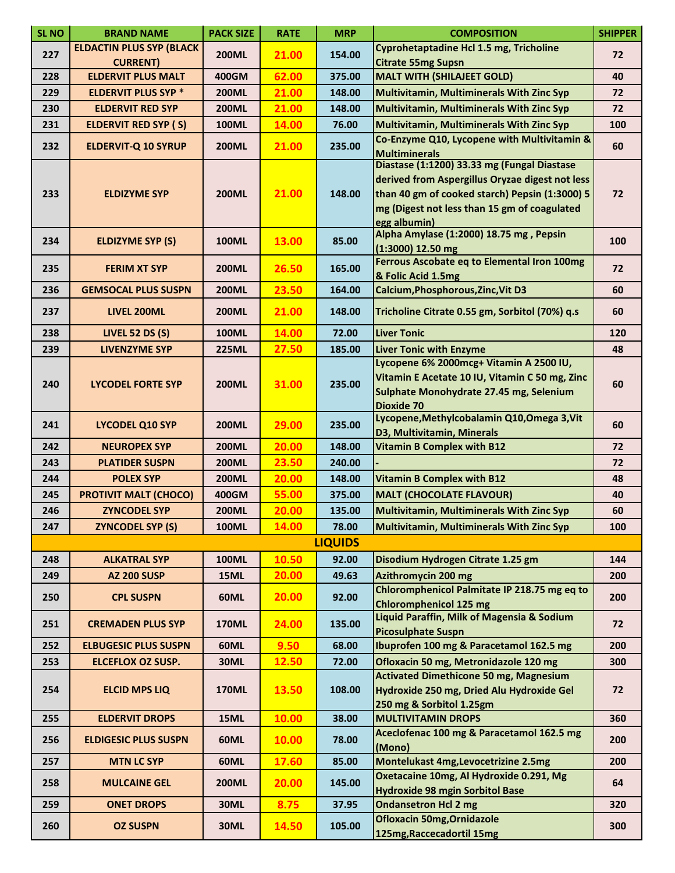| <b>SL NO</b> | <b>BRAND NAME</b>                                  | <b>PACK SIZE</b> | <b>RATE</b> | <b>MRP</b>     | <b>COMPOSITION</b>                                                                                                                                                                                               | <b>SHIPPER</b> |
|--------------|----------------------------------------------------|------------------|-------------|----------------|------------------------------------------------------------------------------------------------------------------------------------------------------------------------------------------------------------------|----------------|
| 227          | <b>ELDACTIN PLUS SYP (BLACK</b><br><b>CURRENT)</b> | <b>200ML</b>     | 21.00       | 154.00         | Cyprohetaptadine Hcl 1.5 mg, Tricholine<br><b>Citrate 55mg Supsn</b>                                                                                                                                             | 72             |
| 228          | <b>ELDERVIT PLUS MALT</b>                          | 400GM            | 62.00       | 375.00         | <b>MALT WITH (SHILAJEET GOLD)</b>                                                                                                                                                                                | 40             |
| 229          | <b>ELDERVIT PLUS SYP *</b>                         | <b>200ML</b>     | 21.00       | 148.00         | <b>Multivitamin, Multiminerals With Zinc Syp</b>                                                                                                                                                                 | 72             |
| 230          | <b>ELDERVIT RED SYP</b>                            | <b>200ML</b>     | 21.00       | 148.00         | <b>Multivitamin, Multiminerals With Zinc Syp</b>                                                                                                                                                                 | 72             |
| 231          | <b>ELDERVIT RED SYP (S)</b>                        | <b>100ML</b>     | 14.00       | 76.00          | <b>Multivitamin, Multiminerals With Zinc Syp</b>                                                                                                                                                                 | 100            |
| 232          | <b>ELDERVIT-Q 10 SYRUP</b>                         | <b>200ML</b>     | 21.00       | 235.00         | Co-Enzyme Q10, Lycopene with Multivitamin &<br><b>Multiminerals</b>                                                                                                                                              | 60             |
| 233          | <b>ELDIZYME SYP</b>                                | <b>200ML</b>     | 21.00       | 148.00         | Diastase (1:1200) 33.33 mg (Fungal Diastase<br>derived from Aspergillus Oryzae digest not less<br>than 40 gm of cooked starch) Pepsin (1:3000) 5<br>mg (Digest not less than 15 gm of coagulated<br>egg albumin) | 72             |
| 234          | <b>ELDIZYME SYP (S)</b>                            | <b>100ML</b>     | 13.00       | 85.00          | Alpha Amylase (1:2000) 18.75 mg, Pepsin<br>(1:3000) 12.50 mg                                                                                                                                                     | 100            |
| 235          | <b>FERIM XT SYP</b>                                | <b>200ML</b>     | 26.50       | 165.00         | Ferrous Ascobate eq to Elemental Iron 100mg<br>& Folic Acid 1.5mg                                                                                                                                                | 72             |
| 236          | <b>GEMSOCAL PLUS SUSPN</b>                         | <b>200ML</b>     | 23.50       | 164.00         | Calcium, Phosphorous, Zinc, Vit D3                                                                                                                                                                               | 60             |
| 237          | LIVEL 200ML                                        | <b>200ML</b>     | 21.00       | 148.00         | Tricholine Citrate 0.55 gm, Sorbitol (70%) q.s                                                                                                                                                                   | 60             |
| 238          | <b>LIVEL 52 DS (S)</b>                             | <b>100ML</b>     | 14.00       | 72.00          | <b>Liver Tonic</b>                                                                                                                                                                                               | 120            |
| 239          | <b>LIVENZYME SYP</b>                               | <b>225ML</b>     | 27.50       | 185.00         | <b>Liver Tonic with Enzyme</b>                                                                                                                                                                                   | 48             |
| 240          | <b>LYCODEL FORTE SYP</b>                           | <b>200ML</b>     | 31.00       | 235.00         | Lycopene 6% 2000mcg+ Vitamin A 2500 IU,<br>Vitamin E Acetate 10 IU, Vitamin C 50 mg, Zinc<br>Sulphate Monohydrate 27.45 mg, Selenium<br><b>Dioxide 70</b>                                                        | 60             |
| 241          | <b>LYCODEL Q10 SYP</b>                             | <b>200ML</b>     | 29.00       | 235.00         | Lycopene, Methylcobalamin Q10, Omega 3, Vit<br>D3, Multivitamin, Minerals                                                                                                                                        | 60             |
| 242          | <b>NEUROPEX SYP</b>                                | <b>200ML</b>     | 20.00       | 148.00         | <b>Vitamin B Complex with B12</b>                                                                                                                                                                                | 72             |
| 243          | <b>PLATIDER SUSPN</b>                              | <b>200ML</b>     | 23.50       | 240.00         |                                                                                                                                                                                                                  | 72             |
| 244          | <b>POLEX SYP</b>                                   | <b>200ML</b>     | 20.00       | 148.00         | <b>Vitamin B Complex with B12</b>                                                                                                                                                                                | 48             |
| 245          | <b>PROTIVIT MALT (CHOCO)</b>                       | 400GM            | 55.00       | 375.00         | <b>MALT (CHOCOLATE FLAVOUR)</b>                                                                                                                                                                                  | 40             |
| 246          | <b>ZYNCODEL SYP</b>                                | <b>200ML</b>     | 20.00       | 135.00         | Multivitamin, Multiminerals With Zinc Syp                                                                                                                                                                        | 60             |
| 247          | <b>ZYNCODEL SYP (S)</b>                            | <b>100ML</b>     | 14.00       | 78.00          | Multivitamin, Multiminerals With Zinc Syp                                                                                                                                                                        | 100            |
|              |                                                    |                  |             | <b>LIQUIDS</b> |                                                                                                                                                                                                                  |                |
| 248          | <b>ALKATRAL SYP</b>                                | <b>100ML</b>     | 10.50       | 92.00          | Disodium Hydrogen Citrate 1.25 gm                                                                                                                                                                                | 144            |
| 249          | <b>AZ 200 SUSP</b>                                 | 15ML             | 20.00       | 49.63          | Azithromycin 200 mg                                                                                                                                                                                              | 200            |
| 250          | <b>CPL SUSPN</b>                                   | 60ML             | 20.00       | 92.00          | Chloromphenicol Palmitate IP 218.75 mg eq to                                                                                                                                                                     | 200            |
|              |                                                    |                  |             |                | Chloromphenicol 125 mg<br>Liquid Paraffin, Milk of Magensia & Sodium                                                                                                                                             |                |
| 251          | <b>CREMADEN PLUS SYP</b>                           | <b>170ML</b>     | 24.00       | 135.00         | <b>Picosulphate Suspn</b>                                                                                                                                                                                        | 72             |
| 252          | <b>ELBUGESIC PLUS SUSPN</b>                        | <b>60ML</b>      | 9.50        | 68.00          | Ibuprofen 100 mg & Paracetamol 162.5 mg                                                                                                                                                                          | 200            |
| 253          | <b>ELCEFLOX OZ SUSP.</b>                           | <b>30ML</b>      | 12.50       | 72.00          | Ofloxacin 50 mg, Metronidazole 120 mg                                                                                                                                                                            | 300            |
| 254          | <b>ELCID MPS LIQ</b>                               | <b>170ML</b>     | 13.50       | 108.00         | <b>Activated Dimethicone 50 mg, Magnesium</b><br>Hydroxide 250 mg, Dried Alu Hydroxide Gel<br>250 mg & Sorbitol 1.25gm                                                                                           | 72             |
| 255          | <b>ELDERVIT DROPS</b>                              | <b>15ML</b>      | 10.00       | 38.00          | <b>MULTIVITAMIN DROPS</b>                                                                                                                                                                                        | 360            |
| 256          | <b>ELDIGESIC PLUS SUSPN</b>                        | 60ML             | 10.00       | 78.00          | Aceclofenac 100 mg & Paracetamol 162.5 mg<br>(Mono)                                                                                                                                                              | 200            |
| 257          | <b>MTN LC SYP</b>                                  | 60ML             | 17.60       | 85.00          | Montelukast 4mg, Levocetrizine 2.5mg                                                                                                                                                                             | 200            |
| 258          | <b>MULCAINE GEL</b>                                | <b>200ML</b>     | 20.00       | 145.00         | Oxetacaine 10mg, Al Hydroxide 0.291, Mg<br><b>Hydroxide 98 mgin Sorbitol Base</b>                                                                                                                                | 64             |
| 259          | <b>ONET DROPS</b>                                  | <b>30ML</b>      | 8.75        | 37.95          | <b>Ondansetron Hcl 2 mg</b>                                                                                                                                                                                      | 320            |
| 260          | <b>OZ SUSPN</b>                                    | <b>30ML</b>      | 14.50       | 105.00         | <b>Ofloxacin 50mg, Ornidazole</b><br>125mg, Raccecadortil 15mg                                                                                                                                                   | 300            |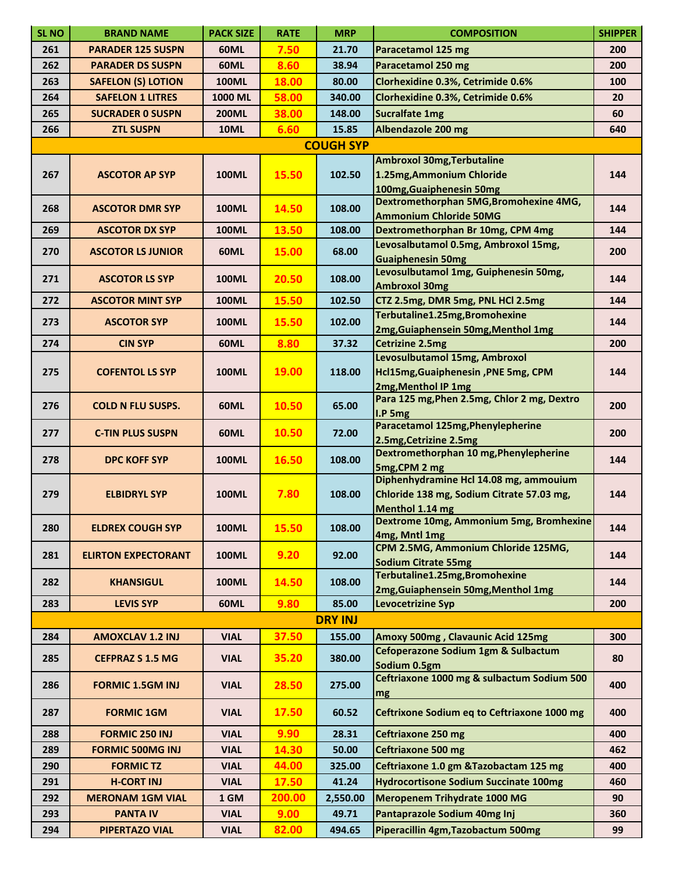| <b>SL NO</b> | <b>BRAND NAME</b>          | <b>PACK SIZE</b> | <b>RATE</b> | <b>MRP</b>       | <b>COMPOSITION</b>                                                      | <b>SHIPPER</b> |
|--------------|----------------------------|------------------|-------------|------------------|-------------------------------------------------------------------------|----------------|
| 261          | <b>PARADER 125 SUSPN</b>   | <b>60ML</b>      | 7.50        | 21.70            | Paracetamol 125 mg                                                      | 200            |
| 262          | <b>PARADER DS SUSPN</b>    | 60ML             | 8.60        | 38.94            | Paracetamol 250 mg                                                      | 200            |
| 263          | <b>SAFELON (S) LOTION</b>  | <b>100ML</b>     | 18.00       | 80.00            | Clorhexidine 0.3%, Cetrimide 0.6%                                       | 100            |
| 264          | <b>SAFELON 1 LITRES</b>    | 1000 ML          | 58.00       | 340.00           | Clorhexidine 0.3%, Cetrimide 0.6%                                       | 20             |
| 265          | <b>SUCRADER 0 SUSPN</b>    | <b>200ML</b>     | 38.00       | 148.00           | <b>Sucralfate 1mg</b>                                                   | 60             |
| 266          | <b>ZTL SUSPN</b>           | <b>10ML</b>      | 6.60        | 15.85            | Albendazole 200 mg                                                      | 640            |
|              |                            |                  |             | <b>COUGH SYP</b> |                                                                         |                |
|              |                            |                  |             |                  | <b>Ambroxol 30mg, Terbutaline</b>                                       |                |
| 267          | <b>ASCOTOR AP SYP</b>      | <b>100ML</b>     | 15.50       | 102.50           | 1.25mg, Ammonium Chloride                                               | 144            |
|              |                            |                  |             |                  | 100mg, Guaiphenesin 50mg                                                |                |
| 268          | <b>ASCOTOR DMR SYP</b>     | <b>100ML</b>     | 14.50       | 108.00           | Dextromethorphan 5MG, Bromohexine 4MG,<br><b>Ammonium Chloride 50MG</b> | 144            |
| 269          | <b>ASCOTOR DX SYP</b>      | <b>100ML</b>     | 13.50       | 108.00           | Dextromethorphan Br 10mg, CPM 4mg                                       | 144            |
|              |                            |                  |             |                  | Levosalbutamol 0.5mg, Ambroxol 15mg,                                    |                |
| 270          | <b>ASCOTOR LS JUNIOR</b>   | 60ML             | 15.00       | 68.00            | <b>Guaiphenesin 50mg</b>                                                | 200            |
| 271          | <b>ASCOTOR LS SYP</b>      | <b>100ML</b>     | 20.50       | 108.00           | Levosulbutamol 1mg, Guiphenesin 50mg,                                   | 144            |
|              |                            |                  |             |                  | <b>Ambroxol 30mg</b>                                                    |                |
| 272          | <b>ASCOTOR MINT SYP</b>    | <b>100ML</b>     | 15.50       | 102.50           | CTZ 2.5mg, DMR 5mg, PNL HCl 2.5mg                                       | 144            |
| 273          | <b>ASCOTOR SYP</b>         | <b>100ML</b>     | 15.50       | 102.00           | Terbutaline1.25mg,Bromohexine<br>2mg, Guiaphensein 50mg, Menthol 1mg    | 144            |
| 274          | <b>CIN SYP</b>             | <b>60ML</b>      | 8.80        | 37.32            | <b>Cetrizine 2.5mg</b>                                                  | 200            |
|              |                            |                  |             |                  | Levosulbutamol 15mg, Ambroxol                                           |                |
| 275          | <b>COFENTOL LS SYP</b>     | <b>100ML</b>     | 19.00       | 118.00           | Hcl15mg, Guaiphenesin, PNE 5mg, CPM                                     | 144            |
|              |                            |                  |             |                  | 2mg, Menthol IP 1mg                                                     |                |
| 276          | <b>COLD N FLU SUSPS.</b>   | 60ML             | 10.50       | 65.00            | Para 125 mg, Phen 2.5mg, Chlor 2 mg, Dextro                             | 200            |
|              |                            |                  |             |                  | I.P 5mg<br>Paracetamol 125mg, Phenylepherine                            |                |
| 277          | <b>C-TIN PLUS SUSPN</b>    | 60ML             | 10.50       | 72.00            | 2.5mg, Cetrizine 2.5mg                                                  | 200            |
|              |                            |                  |             | 108.00           | Dextromethorphan 10 mg, Phenylepherine                                  |                |
| 278          | <b>DPC KOFF SYP</b>        | <b>100ML</b>     | 16.50       |                  | 5mg, CPM 2 mg                                                           | 144            |
|              |                            |                  |             |                  | Diphenhydramine Hcl 14.08 mg, ammouium                                  |                |
| 279          | <b>ELBIDRYL SYP</b>        | <b>100ML</b>     | 7.80        | 108.00           | Chloride 138 mg, Sodium Citrate 57.03 mg,                               | 144            |
|              |                            |                  |             |                  | Menthol 1.14 mg<br>Dextrome 10mg, Ammonium 5mg, Bromhexine              |                |
| 280          | <b>ELDREX COUGH SYP</b>    | <b>100ML</b>     | 15.50       | 108.00           | 4 <sub>mg</sub> , Mntl 1 <sub>mg</sub>                                  | 144            |
| 281          | <b>ELIRTON EXPECTORANT</b> | <b>100ML</b>     | 9.20        | 92.00            | CPM 2.5MG, Ammonium Chloride 125MG,                                     | 144            |
|              |                            |                  |             |                  | <b>Sodium Citrate 55mg</b>                                              |                |
| 282          | <b>KHANSIGUL</b>           | <b>100ML</b>     | 14.50       | 108.00           | Terbutaline1.25mg,Bromohexine<br>2mg, Guiaphensein 50mg, Menthol 1mg    | 144            |
| 283          | <b>LEVIS SYP</b>           | 60ML             | 9.80        | 85.00            | <b>Levocetrizine Syp</b>                                                | 200            |
|              |                            |                  |             | <b>DRY INJ</b>   |                                                                         |                |
| 284          | <b>AMOXCLAV 1.2 INJ</b>    | <b>VIAL</b>      | 37.50       | 155.00           | Amoxy 500mg, Clavaunic Acid 125mg                                       | 300            |
|              |                            |                  |             |                  | Cefoperazone Sodium 1gm & Sulbactum                                     |                |
| 285          | <b>CEFPRAZ S 1.5 MG</b>    | <b>VIAL</b>      | 35.20       | 380.00           | Sodium 0.5gm                                                            | 80             |
| 286          | <b>FORMIC 1.5GM INJ</b>    | <b>VIAL</b>      | 28.50       | 275.00           | Ceftriaxone 1000 mg & sulbactum Sodium 500                              | 400            |
|              |                            |                  |             |                  | mg                                                                      |                |
| 287          | <b>FORMIC 1GM</b>          | <b>VIAL</b>      | 17.50       | 60.52            | Ceftrixone Sodium eq to Ceftriaxone 1000 mg                             | 400            |
| 288          | <b>FORMIC 250 INJ</b>      | <b>VIAL</b>      | 9.90        | 28.31            | Ceftriaxone 250 mg                                                      | 400            |
| 289          | <b>FORMIC 500MG INJ</b>    | <b>VIAL</b>      | 14.30       | 50.00            | <b>Ceftriaxone 500 mg</b>                                               | 462            |
| 290          | <b>FORMIC TZ</b>           | <b>VIAL</b>      | 44.00       | 325.00           | Ceftriaxone 1.0 gm & Tazobactam 125 mg                                  | 400            |
| 291          | <b>H-CORT INJ</b>          | <b>VIAL</b>      | 17.50       | 41.24            | <b>Hydrocortisone Sodium Succinate 100mg</b>                            | 460            |
| 292          | <b>MERONAM 1GM VIAL</b>    | 1 GM             | 200.00      | 2,550.00         | <b>Meropenem Trihydrate 1000 MG</b>                                     | 90             |
| 293          | <b>PANTA IV</b>            | <b>VIAL</b>      | 9.00        | 49.71            | Pantaprazole Sodium 40mg Inj                                            | 360            |
| 294          | PIPERTAZO VIAL             | <b>VIAL</b>      | 82.00       | 494.65           | Piperacillin 4gm, Tazobactum 500mg                                      | 99             |
|              |                            |                  |             |                  |                                                                         |                |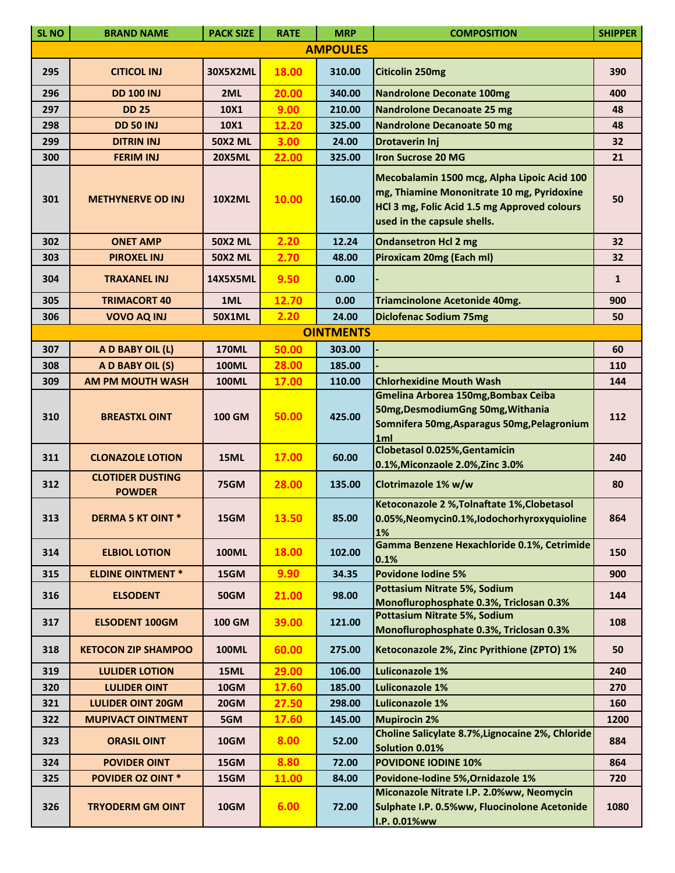| <b>SL NO</b>    | <b>BRAND NAME</b>                        | <b>PACK SIZE</b> | <b>RATE</b> | <b>MRP</b>       | <b>COMPOSITION</b>                                                                                                                                                       | <b>SHIPPER</b> |  |  |
|-----------------|------------------------------------------|------------------|-------------|------------------|--------------------------------------------------------------------------------------------------------------------------------------------------------------------------|----------------|--|--|
| <b>AMPOULES</b> |                                          |                  |             |                  |                                                                                                                                                                          |                |  |  |
| 295             | <b>CITICOL INJ</b>                       | 30X5X2ML         | 18.00       | 310.00           | <b>Citicolin 250mg</b>                                                                                                                                                   | 390            |  |  |
| 296             | <b>DD 100 INJ</b>                        | 2ML              | 20.00       | 340.00           | <b>Nandrolone Deconate 100mg</b>                                                                                                                                         | 400            |  |  |
| 297             | <b>DD 25</b>                             | 10X1             | 9.00        | 210.00           | <b>Nandrolone Decanoate 25 mg</b>                                                                                                                                        | 48             |  |  |
| 298             | <b>DD 50 INJ</b>                         | 10X1             | 12.20       | 325.00           | Nandrolone Decanoate 50 mg                                                                                                                                               | 48             |  |  |
| 299             | <b>DITRIN INJ</b>                        | <b>50X2 ML</b>   | 3.00        | 24.00            | <b>Drotaverin Inj</b>                                                                                                                                                    | 32             |  |  |
| 300             | <b>FERIM INJ</b>                         | <b>20X5ML</b>    | 22.00       | 325.00           | <b>Iron Sucrose 20 MG</b>                                                                                                                                                | 21             |  |  |
| 301             | <b>METHYNERVE OD INJ</b>                 | <b>10X2ML</b>    | 10.00       | 160.00           | Mecobalamin 1500 mcg, Alpha Lipoic Acid 100<br>mg, Thiamine Mononitrate 10 mg, Pyridoxine<br>HCl 3 mg, Folic Acid 1.5 mg Approved colours<br>used in the capsule shells. | 50             |  |  |
| 302             | <b>ONET AMP</b>                          | <b>50X2 ML</b>   | 2.20        | 12.24            | <b>Ondansetron Hcl 2 mg</b>                                                                                                                                              | 32             |  |  |
| 303             | <b>PIROXEL INJ</b>                       | <b>50X2 ML</b>   | 2.70        | 48.00            | Piroxicam 20mg (Each ml)                                                                                                                                                 | 32             |  |  |
| 304             | <b>TRAXANEL INJ</b>                      | <b>14X5X5ML</b>  | 9.50        | 0.00             |                                                                                                                                                                          | $\mathbf{1}$   |  |  |
| 305             | <b>TRIMACORT 40</b>                      | 1ML              | 12.70       | 0.00             | Triamcinolone Acetonide 40mg.                                                                                                                                            | 900            |  |  |
| 306             | <b>VOVO AQ INJ</b>                       | <b>50X1ML</b>    | 2.20        | 24.00            | <b>Diclofenac Sodium 75mg</b>                                                                                                                                            | 50             |  |  |
|                 |                                          |                  |             | <b>OINTMENTS</b> |                                                                                                                                                                          |                |  |  |
| 307             | A D BABY OIL (L)                         | <b>170ML</b>     | 50.00       | 303.00           |                                                                                                                                                                          | 60             |  |  |
| 308             | A D BABY OIL (S)                         | <b>100ML</b>     | 28.00       | 185.00           |                                                                                                                                                                          | 110            |  |  |
| 309             | <b>AM PM MOUTH WASH</b>                  | <b>100ML</b>     | 17.00       | 110.00           | <b>Chlorhexidine Mouth Wash</b>                                                                                                                                          | 144            |  |  |
| 310             | <b>BREASTXL OINT</b>                     | 100 GM           | 50.00       | 425.00           | Gmelina Arborea 150mg, Bombax Ceiba<br>50mg, Desmodium Gng 50mg, Withania<br>Somnifera 50mg, Asparagus 50mg, Pelagronium<br>1ml                                          | 112            |  |  |
| 311             | <b>CLONAZOLE LOTION</b>                  | <b>15ML</b>      | 17.00       | 60.00            | Clobetasol 0.025%, Gentamicin<br>0.1%, Miconzaole 2.0%, Zinc 3.0%                                                                                                        | 240            |  |  |
| 312             | <b>CLOTIDER DUSTING</b><br><b>POWDER</b> | <b>75GM</b>      | 28.00       | 135.00           | Clotrimazole 1% w/w                                                                                                                                                      | 80             |  |  |
| 313             | <b>DERMA 5 KT OINT *</b>                 | 15GM             | 13.50       | 85.00            | Ketoconazole 2 %, Tolnaftate 1%, Clobetasol<br>0.05%, Neomycin0.1%, Iodochorhyroxyquioline<br>1%                                                                         | 864            |  |  |
| 314             | <b>ELBIOL LOTION</b>                     | <b>100ML</b>     | 18.00       | 102.00           | Gamma Benzene Hexachloride 0.1%, Cetrimide<br>0.1%                                                                                                                       | 150            |  |  |
| 315             | <b>ELDINE OINTMENT *</b>                 | 15GM             | 9.90        | 34.35            | Povidone Iodine 5%                                                                                                                                                       | 900            |  |  |
| 316             | <b>ELSODENT</b>                          | <b>50GM</b>      | 21.00       | 98.00            | Pottasium Nitrate 5%, Sodium<br>Monoflurophosphate 0.3%, Triclosan 0.3%                                                                                                  | 144            |  |  |
| 317             | <b>ELSODENT 100GM</b>                    | <b>100 GM</b>    | 39.00       | 121.00           | Pottasium Nitrate 5%, Sodium<br>Monoflurophosphate 0.3%, Triclosan 0.3%                                                                                                  | 108            |  |  |
| 318             | <b>KETOCON ZIP SHAMPOO</b>               | <b>100ML</b>     | 60.00       | 275.00           | Ketoconazole 2%, Zinc Pyrithione (ZPTO) 1%                                                                                                                               | 50             |  |  |
| 319             | <b>LULIDER LOTION</b>                    | 15ML             | 29.00       | 106.00           | Luliconazole 1%                                                                                                                                                          | 240            |  |  |
| 320             | <b>LULIDER OINT</b>                      | 10GM             | 17.60       | 185.00           | Luliconazole 1%                                                                                                                                                          | 270            |  |  |
| 321             | <b>LULIDER OINT 20GM</b>                 | <b>20GM</b>      | 27.50       | 298.00           | Luliconazole 1%                                                                                                                                                          | 160            |  |  |
| 322             | <b>MUPIVACT OINTMENT</b>                 | 5GM              | 17.60       | 145.00           | <b>Mupirocin 2%</b>                                                                                                                                                      | 1200           |  |  |
| 323             | <b>ORASIL OINT</b>                       | 10GM             | 8.00        | 52.00            | Choline Salicylate 8.7%, Lignocaine 2%, Chloride<br>Solution 0.01%                                                                                                       | 884            |  |  |
| 324             | <b>POVIDER OINT</b>                      | 15GM             | 8.80        | 72.00            | <b>POVIDONE IODINE 10%</b>                                                                                                                                               | 864            |  |  |
| 325             | <b>POVIDER OZ OINT *</b>                 | 15GM             | 11.00       | 84.00            | Povidone-Iodine 5%, Ornidazole 1%                                                                                                                                        | 720            |  |  |
| 326             | <b>TRYODERM GM OINT</b>                  | 10GM             | 6.00        | 72.00            | Miconazole Nitrate I.P. 2.0%ww, Neomycin<br>Sulphate I.P. 0.5%ww, Fluocinolone Acetonide<br>I.P. 0.01%ww                                                                 | 1080           |  |  |